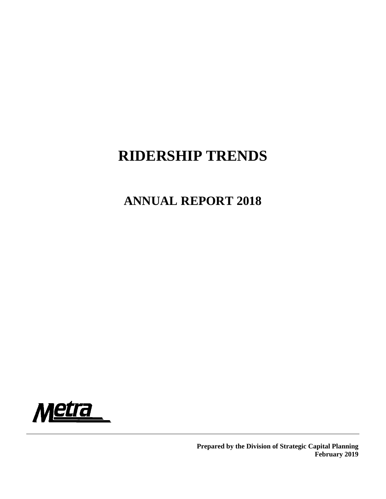# **RIDERSHIP TRENDS**

# **ANNUAL REPORT 2018**



**Prepared by the Division of Strategic Capital Planning February 2019**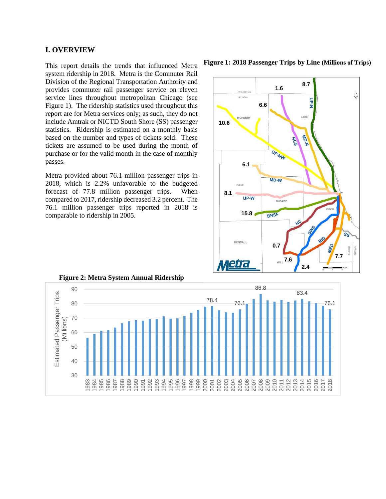#### **I. OVERVIEW**

This report details the trends that influenced Metra system ridership in 2018. Metra is the Commuter Rail Division of the Regional Transportation Authority and provides commuter rail passenger service on eleven service lines throughout metropolitan Chicago (see Figure 1). The ridership statistics used throughout this report are for Metra services only; as such, they do not include Amtrak or NICTD South Shore (SS) passenger statistics. Ridership is estimated on a monthly basis based on the number and types of tickets sold. These tickets are assumed to be used during the month of purchase or for the valid month in the case of monthly passes.

Metra provided about 76.1 million passenger trips in 2018, which is 2.2% unfavorable to the budgeted forecast of 77.8 million passenger trips. When compared to 2017, ridership decreased 3.2 percent. The 76.1 million passenger trips reported in 2018 is comparable to ridership in 2005.

**Figure 1: 2018 Passenger Trips by Line (Millions of Trips)**





**Figure 2: Metra System Annual Ridership**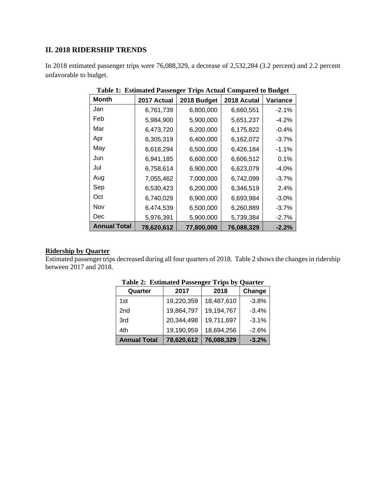## **II. 2018 RIDERSHIP TRENDS**

In 2018 estimated passenger trips were 76,088,329, a decrease of 2,532,284 (3.2 percent) and 2.2 percent unfavorable to budget.

| <b>Month</b>        | 2017 Actual | o<br>2018 Budget | 2018 Acutal | o<br>Variance |
|---------------------|-------------|------------------|-------------|---------------|
| Jan                 | 6,761,739   | 6,800,000        | 6,660,551   | $-2.1%$       |
| Feb                 | 5,984,900   | 5,900,000        | 5,651,237   | $-4.2%$       |
| Mar                 | 6,473,720   | 6,200,000        | 6,175,822   | $-0.4%$       |
| Apr                 | 6,305,319   | 6,400,000        | 6,162,072   | $-3.7%$       |
| May                 | 6,618,294   | 6,500,000        | 6,426,184   | $-1.1%$       |
| Jun                 | 6,941,185   | 6,600,000        | 6,606,512   | 0.1%          |
| Jul                 | 6,758,614   | 6,900,000        | 6,623,079   | $-4.0%$       |
| Aug                 | 7,055,462   | 7,000,000        | 6,742,099   | $-3.7%$       |
| Sep                 | 6,530,423   | 6,200,000        | 6,346,519   | 2.4%          |
| Oct                 | 6,740,029   | 6,900,000        | 6,693,984   | $-3.0%$       |
| Nov                 | 6,474,539   | 6,500,000        | 6,260,889   | $-3.7%$       |
| Dec                 | 5,976,391   | 5,900,000        | 5,739,384   | $-2.7%$       |
| <b>Annual Total</b> | 78,620,612  | 77,800,000       | 76,088,329  | $-2.2%$       |

**Table 1: Estimated Passenger Trips Actual Compared to Budget** 

# **Ridership by Quarter**

Estimated passenger trips decreased during all four quarters of 2018. Table 2 shows the changes in ridership between 2017 and 2018.

| Quarter             | 2017       | 2018       | Change  |
|---------------------|------------|------------|---------|
| 1st                 | 19,220,359 | 18,487,610 | $-3.8%$ |
| 2 <sub>nd</sub>     | 19,864,797 | 19,194,767 | $-3.4%$ |
| 3rd                 | 20,344,498 | 19,711,697 | $-3.1%$ |
| 4th                 | 19,190,959 | 18,694,256 | $-2.6%$ |
| <b>Annual Total</b> | 78,620,612 | 76,088,329 | $-3.2%$ |

**Table 2: Estimated Passenger Trips by Quarter**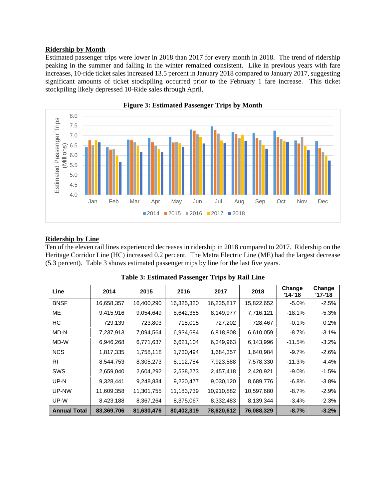### **Ridership by Month**

Estimated passenger trips were lower in 2018 than 2017 for every month in 2018. The trend of ridership peaking in the summer and falling in the winter remained consistent. Like in previous years with fare increases, 10-ride ticket sales increased 13.5 percent in January 2018 compared to January 2017, suggesting significant amounts of ticket stockpiling occurred prior to the February 1 fare increase. This ticket stockpiling likely depressed 10-Ride sales through April.





## **Ridership by Line**

Ten of the eleven rail lines experienced decreases in ridership in 2018 compared to 2017. Ridership on the Heritage Corridor Line (HC) increased 0.2 percent. The Metra Electric Line (ME) had the largest decrease (5.3 percent). Table 3 shows estimated passenger trips by line for the last five years.

| Line                | 2014       | 2015       | 2016       | 2017       | 2018       | Change<br>$'14-'18$ | Change<br>'17-'18 |
|---------------------|------------|------------|------------|------------|------------|---------------------|-------------------|
| <b>BNSF</b>         | 16,658,357 | 16,400,290 | 16,325,320 | 16,235,817 | 15,822,652 | $-5.0\%$            | $-2.5%$           |
| ME                  | 9,415,916  | 9,054,649  | 8,642,365  | 8,149,977  | 7,716,121  | $-18.1%$            | $-5.3%$           |
| НC                  | 729,139    | 723,803    | 718,015    | 727,202    | 728,467    | $-0.1%$             | 0.2%              |
| MD-N                | 7,237,913  | 7,094,564  | 6,934,684  | 6,818,808  | 6,610,059  | $-8.7%$             | $-3.1%$           |
| MD-W                | 6,946,268  | 6,771,637  | 6,621,104  | 6,349,963  | 6,143,996  | $-11.5%$            | $-3.2%$           |
| <b>NCS</b>          | 1,817,335  | 1,758,118  | 1,730,494  | 1,684,357  | 1,640,984  | $-9.7%$             | $-2.6%$           |
| RI                  | 8,544,753  | 8,305,273  | 8,112,784  | 7,923,588  | 7,578,330  | $-11.3%$            | $-4.4%$           |
| <b>SWS</b>          | 2,659,040  | 2,604,292  | 2,538,273  | 2,457,418  | 2,420,921  | $-9.0\%$            | $-1.5%$           |
| UP-N                | 9,328,441  | 9,248,834  | 9,220,477  | 9,030,120  | 8,689,776  | $-6.8%$             | $-3.8%$           |
| UP-NW               | 11,609,358 | 11,301,755 | 11,183,739 | 10,910,882 | 10,597,680 | $-8.7%$             | $-2.9%$           |
| UP-W                | 8,423,188  | 8,367,264  | 8,375,067  | 8,332,483  | 8,139,344  | $-3.4%$             | $-2.3%$           |
| <b>Annual Total</b> | 83,369,706 | 81,630,476 | 80,402,319 | 78,620,612 | 76,088,329 | $-8.7%$             | $-3.2%$           |

| <b>Table 3: Estimated Passenger Trips by Rail Line</b> |  |  |  |
|--------------------------------------------------------|--|--|--|
|                                                        |  |  |  |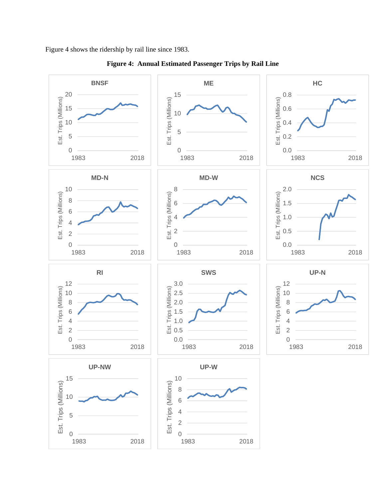Figure 4 shows the ridership by rail line since 1983.



**Figure 4: Annual Estimated Passenger Trips by Rail Line**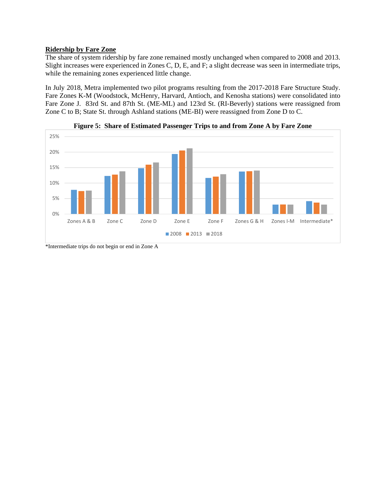# **Ridership by Fare Zone**

The share of system ridership by fare zone remained mostly unchanged when compared to 2008 and 2013. Slight increases were experienced in Zones C, D, E, and F; a slight decrease was seen in intermediate trips, while the remaining zones experienced little change.

In July 2018, Metra implemented two pilot programs resulting from the 2017-2018 Fare Structure Study. Fare Zones K-M (Woodstock, McHenry, Harvard, Antioch, and Kenosha stations) were consolidated into Fare Zone J. 83rd St. and 87th St. (ME-ML) and 123rd St. (RI-Beverly) stations were reassigned from Zone C to B; State St. through Ashland stations (ME-BI) were reassigned from Zone D to C.





\*Intermediate trips do not begin or end in Zone A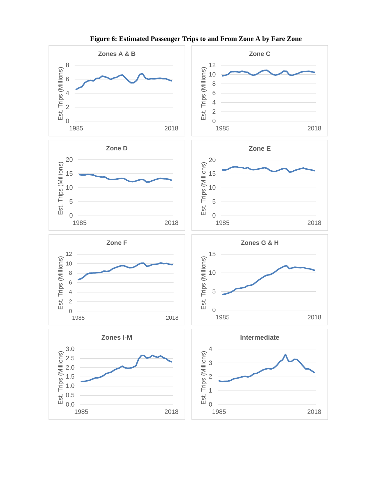

**Figure 6: Estimated Passenger Trips to and From Zone A by Fare Zone**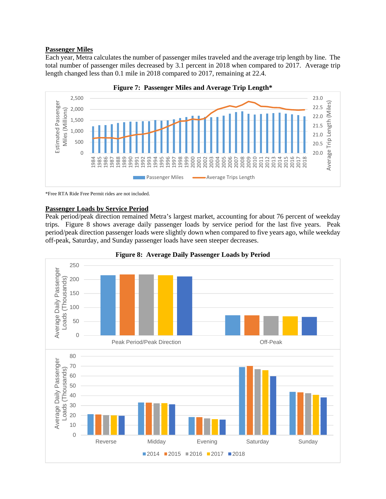#### **Passenger Miles**

Each year, Metra calculates the number of passenger miles traveled and the average trip length by line. The total number of passenger miles decreased by 3.1 percent in 2018 when compared to 2017. Average trip length changed less than 0.1 mile in 2018 compared to 2017, remaining at 22.4.





\*Free RTA Ride Free Permit rides are not included.

#### **Passenger Loads by Service Period**

Peak period/peak direction remained Metra's largest market, accounting for about 76 percent of weekday trips. Figure 8 shows average daily passenger loads by service period for the last five years. Peak period/peak direction passenger loads were slightly down when compared to five years ago, while weekday off-peak, Saturday, and Sunday passenger loads have seen steeper decreases.



**Figure 8: Average Daily Passenger Loads by Period**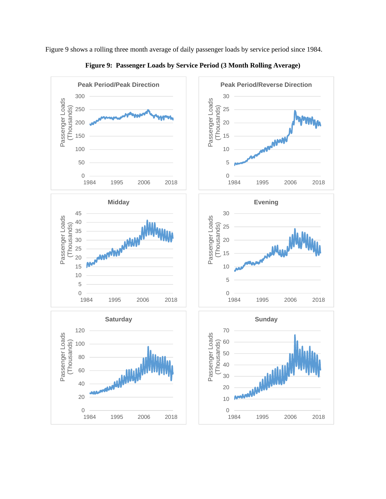Figure 9 shows a rolling three month average of daily passenger loads by service period since 1984.



**Figure 9: Passenger Loads by Service Period (3 Month Rolling Average)**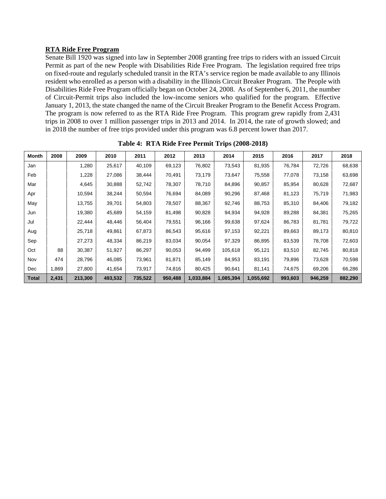## **RTA Ride Free Program**

Senate Bill 1920 was signed into law in September 2008 granting free trips to riders with an issued Circuit Permit as part of the new People with Disabilities Ride Free Program. The legislation required free trips on fixed-route and regularly scheduled transit in the RTA's service region be made available to any Illinois resident who enrolled as a person with a disability in the Illinois Circuit Breaker Program. The People with Disabilities Ride Free Program officially began on October 24, 2008. As of September 6, 2011, the number of Circuit-Permit trips also included the low-income seniors who qualified for the program. Effective January 1, 2013, the state changed the name of the Circuit Breaker Program to the Benefit Access Program. The program is now referred to as the RTA Ride Free Program. This program grew rapidly from 2,431 trips in 2008 to over 1 million passenger trips in 2013 and 2014. In 2014, the rate of growth slowed; and in 2018 the number of free trips provided under this program was 6.8 percent lower than 2017.

| <b>Month</b> | 2008  | 2009    | 2010    | 2011    | 2012    | 2013      | 2014      | 2015      | 2016    | 2017    | 2018    |
|--------------|-------|---------|---------|---------|---------|-----------|-----------|-----------|---------|---------|---------|
| Jan          |       | 1,280   | 25,617  | 40,109  | 69,123  | 76,802    | 73,543    | 81,935    | 76,784  | 72,726  | 68,638  |
| Feb          |       | 1,228   | 27,086  | 38,444  | 70,491  | 73,179    | 73,647    | 75,558    | 77,078  | 73,158  | 63,698  |
| Mar          |       | 4,645   | 30,888  | 52,742  | 78,307  | 78,710    | 84,896    | 90,857    | 85,954  | 80,628  | 72,687  |
| Apr          |       | 10,594  | 38,244  | 50,594  | 76,694  | 84,089    | 90,296    | 87,468    | 81,123  | 75,719  | 71,983  |
| May          |       | 13,755  | 39,701  | 54,803  | 78,507  | 88,367    | 92,746    | 88,753    | 85,310  | 84,406  | 79,182  |
| Jun          |       | 19,380  | 45,689  | 54,159  | 81,498  | 90,828    | 94,934    | 94,928    | 89,288  | 84,381  | 75,265  |
| Jul          |       | 22,444  | 48,446  | 56,404  | 79,551  | 96,166    | 99,638    | 97,624    | 86,783  | 81,781  | 79,722  |
| Aug          |       | 25,718  | 49,861  | 67,873  | 86,543  | 95,616    | 97,153    | 92,221    | 89,663  | 89,173  | 80,810  |
| Sep          |       | 27,273  | 48,334  | 86,219  | 83,034  | 90,054    | 97,329    | 86,895    | 83,539  | 78,708  | 72,603  |
| Oct          | 88    | 30,387  | 51,927  | 86,297  | 90,053  | 94,499    | 105,618   | 95,121    | 83,510  | 82,745  | 80,818  |
| Nov          | 474   | 28,796  | 46,085  | 73,961  | 81,871  | 85,149    | 84,953    | 83,191    | 79,896  | 73,628  | 70,598  |
| Dec          | 1,869 | 27,800  | 41,654  | 73,917  | 74,816  | 80,425    | 90,641    | 81,141    | 74,675  | 69,206  | 66,286  |
| Total        | 2,431 | 213,300 | 493,532 | 735,522 | 950,488 | 1,033,884 | 1,085,394 | 1,055,692 | 993,603 | 946,259 | 882,290 |

**Table 4: RTA Ride Free Permit Trips (2008-2018)**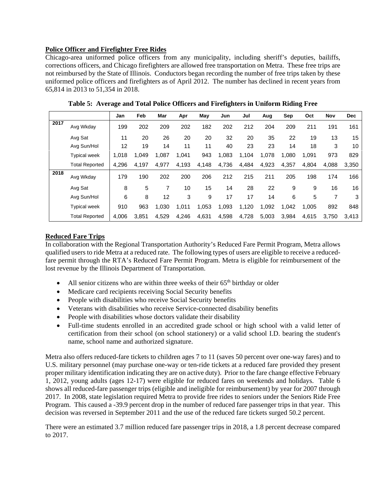## **Police Officer and Firefighter Free Rides**

Chicago-area uniformed police officers from any municipality, including sheriff's deputies, bailiffs, corrections officers, and Chicago firefighters are allowed free transportation on Metra. These free trips are not reimbursed by the State of Illinois. Conductors began recording the number of free trips taken by these uniformed police officers and firefighters as of April 2012. The number has declined in recent years from 65,814 in 2013 to 51,354 in 2018.

|      |                       | Jan   | Feb   | Mar   | Apr   | May   | Jun   | Jul   | Aug   | Sep   | Oct   | <b>Nov</b> | <b>Dec</b> |
|------|-----------------------|-------|-------|-------|-------|-------|-------|-------|-------|-------|-------|------------|------------|
| 2017 | Avg Wkday             | 199   | 202   | 209   | 202   | 182   | 202   | 212   | 204   | 209   | 211   | 191        | 161        |
|      | Avg Sat               | 11    | 20    | 26    | 20    | 20    | 32    | 20    | 35    | 22    | 19    | 13         | 15         |
|      | Avg Sun/Hol           | 12    | 19    | 14    | 11    | 11    | 40    | 23    | 23    | 14    | 18    | 3          | 10         |
|      | <b>Typical week</b>   | 1,018 | 1,049 | 1,087 | 1,041 | 943   | 1,083 | 1,104 | 1,078 | 1,080 | 1,091 | 973        | 829        |
|      | <b>Total Reported</b> | 4,296 | 4.197 | 4,977 | 4.193 | 4,148 | 4,736 | 4,484 | 4,923 | 4,357 | 4,804 | 4,088      | 3,350      |
| 2018 | Avg Wkday             | 179   | 190   | 202   | 200   | 206   | 212   | 215   | 211   | 205   | 198   | 174        | 166        |
|      | Avg Sat               | 8     | 5     | 7     | 10    | 15    | 14    | 28    | 22    | 9     | 9     | 16         | 16         |
|      | Avg Sun/Hol           | 6     | 8     | 12    | 3     | 9     | 17    | 17    | 14    | 6     | 5     | 7          | 3          |
|      | <b>Typical week</b>   | 910   | 963   | 1,030 | 1,011 | 1,053 | 1,093 | 1,120 | 1,092 | 1,042 | 1,005 | 892        | 848        |
|      | <b>Total Reported</b> | 4,006 | 3,851 | 4,529 | 4.246 | 4,631 | 4,598 | 4,728 | 5,003 | 3,984 | 4,615 | 3,750      | 3.413      |

**Table 5: Average and Total Police Officers and Firefighters in Uniform Riding Free** 

## **Reduced Fare Trips**

In collaboration with the Regional Transportation Authority's Reduced Fare Permit Program, Metra allows qualified users to ride Metra at a reduced rate. The following types of users are eligible to receive a reducedfare permit through the RTA's Reduced Fare Permit Program. Metra is eligible for reimbursement of the lost revenue by the Illinois Department of Transportation.

- All senior citizens who are within three weeks of their  $65<sup>th</sup>$  birthday or older
- Medicare card recipients receiving Social Security benefits
- People with disabilities who receive Social Security benefits
- Veterans with disabilities who receive Service-connected disability benefits
- People with disabilities whose doctors validate their disability
- Full-time students enrolled in an accredited grade school or high school with a valid letter of certification from their school (on school stationery) or a valid school I.D. bearing the student's name, school name and authorized signature.

Metra also offers reduced-fare tickets to children ages 7 to 11 (saves 50 percent over one-way fares) and to U.S. military personnel (may purchase one-way or ten-ride tickets at a reduced fare provided they present proper military identification indicating they are on active duty). Prior to the fare change effective February 1, 2012, young adults (ages 12-17) were eligible for reduced fares on weekends and holidays. Table 6 shows all reduced-fare passenger trips (eligible and ineligible for reimbursement) by year for 2007 through 2017. In 2008, state legislation required Metra to provide free rides to seniors under the Seniors Ride Free Program. This caused a -39.9 percent drop in the number of reduced fare passenger trips in that year. This decision was reversed in September 2011 and the use of the reduced fare tickets surged 50.2 percent.

There were an estimated 3.7 million reduced fare passenger trips in 2018, a 1.8 percent decrease compared to 2017.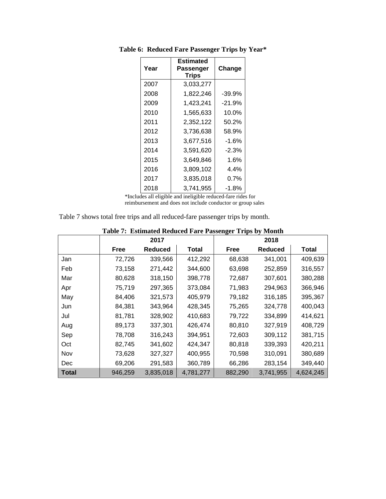|      | Estimated          |          |
|------|--------------------|----------|
| Year | Passenger<br>Trips | Change   |
| 2007 | 3,033,277          |          |
| 2008 | 1,822,246          | $-39.9%$ |
| 2009 | 1,423,241          | $-21.9%$ |
| 2010 | 1,565,633          | 10.0%    |
| 2011 | 2,352,122          | 50.2%    |
| 2012 | 3,736,638          | 58.9%    |
| 2013 | 3,677,516          | $-1.6%$  |
| 2014 | 3,591,620          | $-2.3%$  |
| 2015 | 3,649,846          | 1.6%     |
| 2016 | 3,809,102          | 4.4%     |
| 2017 | 3,835,018          | $0.7\%$  |
| 2018 | 3,741,955          | $-1.8%$  |

**Table 6: Reduced Fare Passenger Trips by Year\*** 

 \*Includes all eligible and ineligible reduced-fare rides for reimbursement and does not include conductor or group sales

| Table 7 shows total free trips and all reduced-fare passenger trips by month. |  |
|-------------------------------------------------------------------------------|--|
|-------------------------------------------------------------------------------|--|

|              |             | 2017           |           |         | $B^{\bullet\bullet}$ and $B^{\bullet\bullet}$ $\sim$ $J$ and $\sim$<br>2018 |           |
|--------------|-------------|----------------|-----------|---------|-----------------------------------------------------------------------------|-----------|
|              | <b>Free</b> | <b>Reduced</b> | Total     | Free    | <b>Reduced</b>                                                              | Total     |
| Jan          | 72,726      | 339,566        | 412,292   | 68,638  | 341,001                                                                     | 409,639   |
| Feb          | 73,158      | 271,442        | 344,600   | 63,698  | 252,859                                                                     | 316,557   |
| Mar          | 80,628      | 318,150        | 398,778   | 72,687  | 307,601                                                                     | 380,288   |
| Apr          | 75,719      | 297,365        | 373,084   | 71,983  | 294,963                                                                     | 366,946   |
| May          | 84,406      | 321,573        | 405,979   | 79,182  | 316,185                                                                     | 395,367   |
| Jun          | 84,381      | 343,964        | 428,345   | 75,265  | 324,778                                                                     | 400,043   |
| Jul          | 81,781      | 328,902        | 410,683   | 79,722  | 334,899                                                                     | 414,621   |
| Aug          | 89,173      | 337,301        | 426,474   | 80,810  | 327,919                                                                     | 408,729   |
| Sep          | 78,708      | 316,243        | 394,951   | 72,603  | 309,112                                                                     | 381,715   |
| Oct          | 82,745      | 341,602        | 424,347   | 80,818  | 339,393                                                                     | 420,211   |
| Nov          | 73,628      | 327,327        | 400,955   | 70,598  | 310,091                                                                     | 380,689   |
| Dec          | 69,206      | 291,583        | 360,789   | 66,286  | 283,154                                                                     | 349,440   |
| <b>Total</b> | 946,259     | 3,835,018      | 4,781,277 | 882,290 | 3,741,955                                                                   | 4,624,245 |

| Table 7: Estimated Reduced Fare Passenger Trips by Month |
|----------------------------------------------------------|
|----------------------------------------------------------|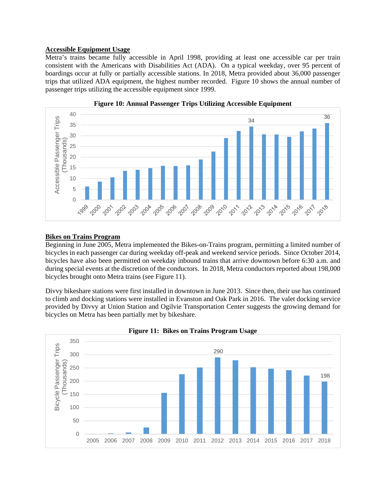## **Accessible Equipment Usage**

Metra's trains became fully accessible in April 1998, providing at least one accessible car per train consistent with the Americans with Disabilities Act (ADA). On a typical weekday, over 95 percent of boardings occur at fully or partially accessible stations. In 2018, Metra provided about 36,000 passenger trips that utilized ADA equipment, the highest number recorded. Figure 10 shows the annual number of passenger trips utilizing the accessible equipment since 1999.





#### **Bikes on Trains Program**

Beginning in June 2005, Metra implemented the Bikes-on-Trains program, permitting a limited number of bicycles in each passenger car during weekday off-peak and weekend service periods. Since October 2014, bicycles have also been permitted on weekday inbound trains that arrive downtown before 6:30 a.m. and during special events at the discretion of the conductors. In 2018, Metra conductors reported about 198,000 bicycles brought onto Metra trains (see Figure 11).

Divvy bikeshare stations were first installed in downtown in June 2013. Since then, their use has continued to climb and docking stations were installed in Evanston and Oak Park in 2016. The valet docking service provided by Divvy at Union Station and Ogilvie Transportation Center suggests the growing demand for bicycles on Metra has been partially met by bikeshare.



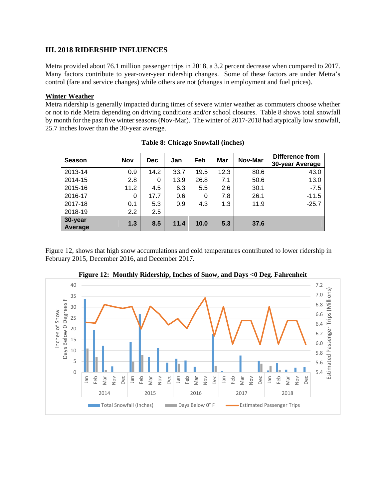## **III. 2018 RIDERSHIP INFLUENCES**

Metra provided about 76.1 million passenger trips in 2018, a 3.2 percent decrease when compared to 2017. Many factors contribute to year-over-year ridership changes. Some of these factors are under Metra's control (fare and service changes) while others are not (changes in employment and fuel prices).

#### **Winter Weather**

Metra ridership is generally impacted during times of severe winter weather as commuters choose whether or not to ride Metra depending on driving conditions and/or school closures. Table 8 shows total snowfall by month for the past five winter seasons (Nov-Mar). The winter of 2017-2018 had atypically low snowfall, 25.7 inches lower than the 30-year average.

| <b>Season</b>      | <b>Nov</b> | <b>Dec</b> | Jan  | Feb  | Mar  | Nov-Mar | <b>Difference from</b><br>30-year Average |
|--------------------|------------|------------|------|------|------|---------|-------------------------------------------|
| 2013-14            | 0.9        | 14.2       | 33.7 | 19.5 | 12.3 | 80.6    | 43.0                                      |
| 2014-15            | 2.8        | 0          | 13.9 | 26.8 | 7.1  | 50.6    | 13.0                                      |
| 2015-16            | 11.2       | 4.5        | 6.3  | 5.5  | 2.6  | 30.1    | $-7.5$                                    |
| 2016-17            | 0          | 17.7       | 0.6  | 0    | 7.8  | 26.1    | $-11.5$                                   |
| 2017-18            | 0.1        | 5.3        | 0.9  | 4.3  | 1.3  | 11.9    | $-25.7$                                   |
| 2018-19            | 2.2        | 2.5        |      |      |      |         |                                           |
| 30-year<br>Average | 1.3        | 8.5        | 11.4 | 10.0 | 5.3  | 37.6    |                                           |

| <b>Table 8: Chicago Snowfall (inches)</b> |  |  |
|-------------------------------------------|--|--|
|-------------------------------------------|--|--|

Figure 12, shows that high snow accumulations and cold temperatures contributed to lower ridership in February 2015, December 2016, and December 2017.



**Figure 12: Monthly Ridership, Inches of Snow, and Days <0 Deg. Fahrenheit**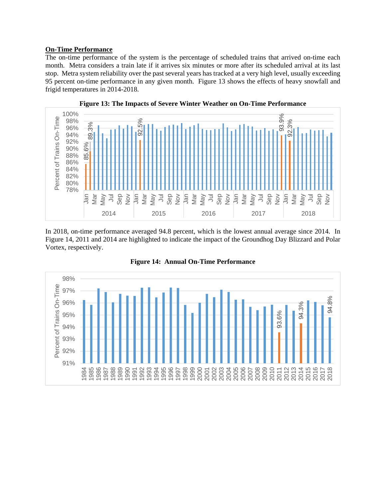#### **On-Time Performance**

The on-time performance of the system is the percentage of scheduled trains that arrived on-time each month. Metra considers a train late if it arrives six minutes or more after its scheduled arrival at its last stop. Metra system reliability over the past several years has tracked at a very high level, usually exceeding 95 percent on-time performance in any given month. Figure 13 shows the effects of heavy snowfall and frigid temperatures in 2014-2018.



In 2018, on-time performance averaged 94.8 percent, which is the lowest annual average since 2014. In Figure 14, 2011 and 2014 are highlighted to indicate the impact of the Groundhog Day Blizzard and Polar Vortex, respectively.



**Figure 14: Annual On-Time Performance**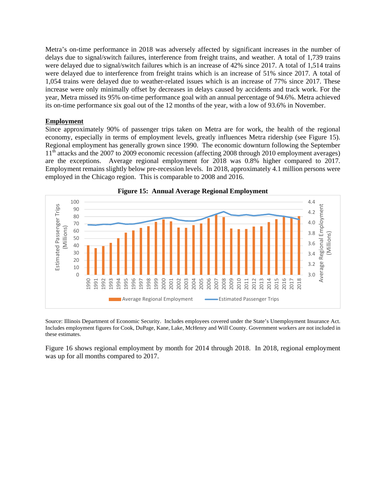Metra's on-time performance in 2018 was adversely affected by significant increases in the number of delays due to signal/switch failures, interference from freight trains, and weather. A total of 1,739 trains were delayed due to signal/switch failures which is an increase of 42% since 2017. A total of 1,514 trains were delayed due to interference from freight trains which is an increase of 51% since 2017. A total of 1,054 trains were delayed due to weather-related issues which is an increase of 77% since 2017. These increase were only minimally offset by decreases in delays caused by accidents and track work. For the year, Metra missed its 95% on-time performance goal with an annual percentage of 94.6%. Metra achieved its on-time performance six goal out of the 12 months of the year, with a low of 93.6% in November.

#### **Employment**

Since approximately 90% of passenger trips taken on Metra are for work, the health of the regional economy, especially in terms of employment levels, greatly influences Metra ridership (see Figure 15). Regional employment has generally grown since 1990. The economic downturn following the September 11<sup>th</sup> attacks and the 2007 to 2009 economic recession (affecting 2008 through 2010 employment averages) are the exceptions. Average regional employment for 2018 was 0.8% higher compared to 2017. Employment remains slightly below pre-recession levels. In 2018, approximately 4.1 million persons were employed in the Chicago region. This is comparable to 2008 and 2016.





Source: Illinois Department of Economic Security. Includes employees covered under the State's Unemployment Insurance Act. Includes employment figures for Cook, DuPage, Kane, Lake, McHenry and Will County. Government workers are not included in these estimates.

Figure 16 shows regional employment by month for 2014 through 2018. In 2018, regional employment was up for all months compared to 2017.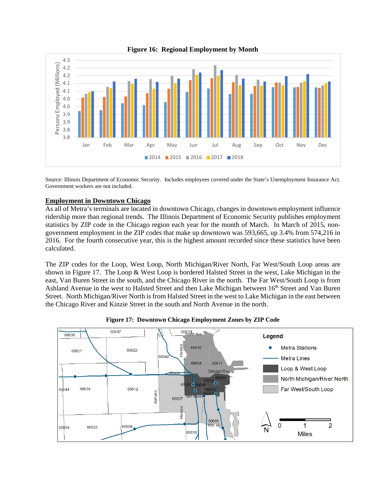

**Figure 16: Regional Employment by Month** 

Source: Illinois Department of Economic Security. Includes employees covered under the State's Unemployment Insurance Act. Government workers are not included.

#### **Employment in Downtown Chicago**

As all of Metra's terminals are located in downtown Chicago, changes in downtown employment influence ridership more than regional trends. The Illinois Department of Economic Security publishes employment statistics by ZIP code in the Chicago region each year for the month of March. In March of 2015, nongovernment employment in the ZIP codes that make up downtown was 593,665, up 3.4% from 574,216 in 2016. For the fourth consecutive year, this is the highest amount recorded since these statistics have been calculated.

The ZIP codes for the Loop, West Loop, North Michigan/River North, Far West/South Loop areas are shown in Figure 17. The Loop & West Loop is bordered Halsted Street in the west, Lake Michigan in the east, Van Buren Street in the south, and the Chicago River in the north. The Far West/South Loop is from Ashland Avenue in the west to Halsted Street and then Lake Michigan between 16<sup>th</sup> Street and Van Buren Street. North Michigan/River North is from Halsted Street in the west to Lake Michigan in the east between the Chicago River and Kinzie Street in the south and North Avenue in the north.



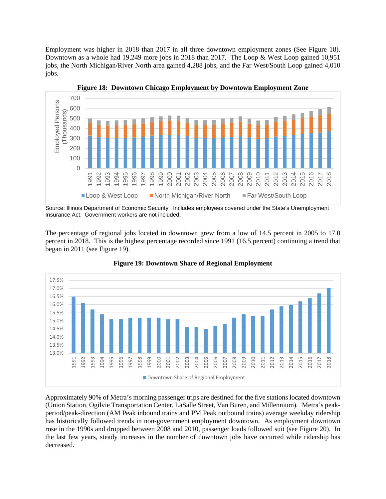Employment was higher in 2018 than 2017 in all three downtown employment zones (See Figure 18). Downtown as a whole had 19,249 more jobs in 2018 than 2017. The Loop & West Loop gained 10,951 jobs, the North Michigan/River North area gained 4,288 jobs, and the Far West/South Loop gained 4,010 jobs.



**Figure 18: Downtown Chicago Employment by Downtown Employment Zone** 

Source: Illinois Department of Economic Security. Includes employees covered under the State's Unemployment Insurance Act. Government workers are not included**.**

The percentage of regional jobs located in downtown grew from a low of 14.5 percent in 2005 to 17.0 percent in 2018. This is the highest percentage recorded since 1991 (16.5 percent) continuing a trend that began in 2011 (see Figure 19).





Approximately 90% of Metra's morning passenger trips are destined for the five stations located downtown (Union Station, Ogilvie Transportation Center, LaSalle Street, Van Buren, and Millennium). Metra's peakperiod/peak-direction (AM Peak inbound trains and PM Peak outbound trains) average weekday ridership has historically followed trends in non-government employment downtown. As employment downtown rose in the 1990s and dropped between 2008 and 2010, passenger loads followed suit (see Figure 20). In the last few years, steady increases in the number of downtown jobs have occurred while ridership has decreased.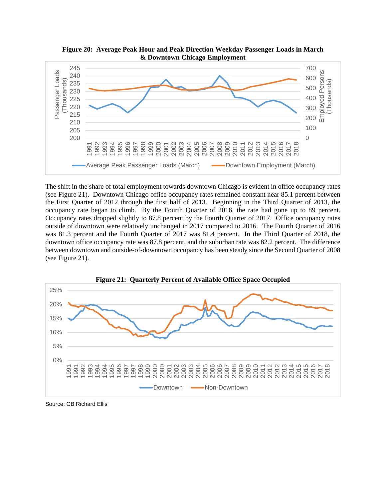

**Figure 20: Average Peak Hour and Peak Direction Weekday Passenger Loads in March & Downtown Chicago Employment** 

The shift in the share of total employment towards downtown Chicago is evident in office occupancy rates (see Figure 21). Downtown Chicago office occupancy rates remained constant near 85.1 percent between the First Quarter of 2012 through the first half of 2013. Beginning in the Third Quarter of 2013, the occupancy rate began to climb. By the Fourth Quarter of 2016, the rate had gone up to 89 percent. Occupancy rates dropped slightly to 87.8 percent by the Fourth Quarter of 2017. Office occupancy rates outside of downtown were relatively unchanged in 2017 compared to 2016. The Fourth Quarter of 2016 was 81.3 percent and the Fourth Quarter of 2017 was 81.4 percent. In the Third Quarter of 2018, the downtown office occupancy rate was 87.8 percent, and the suburban rate was 82.2 percent. The difference between downtown and outside-of-downtown occupancy has been steady since the Second Quarter of 2008 (see Figure 21).



Source: CB Richard Ellis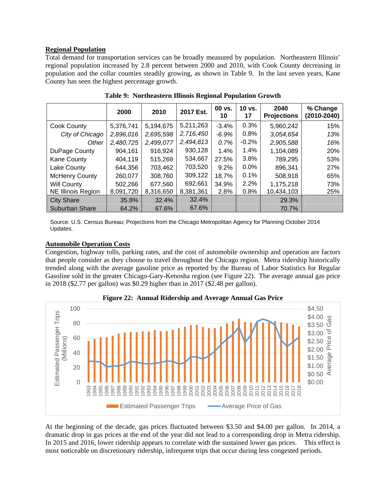## **Regional Population**

Total demand for transportation services can be broadly measured by population. Northeastern Illinois' regional population increased by 2.8 percent between 2000 and 2010, with Cook County decreasing in population and the collar counties steadily growing, as shown in Table 9. In the last seven years, Kane County has seen the highest percentage growth.

|                       | 2000      | 2010      | 2017 Est. | 00 vs.<br>10 | $10$ vs.<br>17 | 2040<br><b>Projections</b> | % Change<br>(2010-2040) |
|-----------------------|-----------|-----------|-----------|--------------|----------------|----------------------------|-------------------------|
| Cook County           | 5,376,741 | 5,194,675 | 5,211,263 | $-3.4%$      | 0.3%           | 5,960,242                  | 15%                     |
| City of Chicago       | 2,896,016 | 2,695,598 | 2,716,450 | $-6.9%$      | 0.8%           | 3,054,654                  | 13%                     |
| Other                 | 2,480,725 | 2,499,077 | 2,494,813 | 0.7%         | $-0.2%$        | 2,905,588                  | 16%                     |
| DuPage County         | 904,161   | 916,924   | 930,128   | 1.4%         | 1.4%           | 1,104,089                  | 20%                     |
| <b>Kane County</b>    | 404.119   | 515,269   | 534,667   | 27.5%        | $3.8\%$        | 789,295                    | 53%                     |
| Lake County           | 644.356   | 703,462   | 703,520   | 9.2%         | $0.0\%$        | 896,341                    | 27%                     |
| <b>McHenry County</b> | 260,077   | 308,760   | 309,122   | 18.7%        | 0.1%           | 508,918                    | 65%                     |
| <b>Will County</b>    | 502,266   | 677,560   | 692,661   | 34.9%        | 2.2%           | 1,175,218                  | 73%                     |
| NE Illinois Region    | 8,091,720 | 8,316,650 | 8,381,361 | 2.8%         | 0.8%           | 10,434,103                 | 25%                     |
| <b>City Share</b>     | 35.8%     | 32.4%     | 32.4%     |              |                | 29.3%                      |                         |
| <b>Suburban Share</b> | 64.2%     | 67.6%     | 67.6%     |              |                | 70.7%                      |                         |

**Table 9: Northeastern Illinois Regional Population Growth** 

Source: U.S. Census Bureau; Projections from the Chicago Metropolitan Agency for Planning October 2014 Updates.

#### **Automobile Operation Costs**

Congestion, highway tolls, parking rates, and the cost of automobile ownership and operation are factors that people consider as they choose to travel throughout the Chicago region. Metra ridership historically trended along with the average gasoline price as reported by the Bureau of Labor Statistics for Regular Gasoline sold in the greater Chicago-Gary-Kenosha region (see Figure 22). The average annual gas price in 2018 (\$2.77 per gallon) was \$0.29 higher than in 2017 (\$2.48 per gallon).





At the beginning of the decade, gas prices fluctuated between \$3.50 and \$4.00 per gallon. In 2014, a dramatic drop in gas prices at the end of the year did not lead to a corresponding drop in Metra ridership. In 2015 and 2016, lower ridership appears to correlate with the sustained lower gas prices. This effect is most noticeable on discretionary ridership, infrequent trips that occur during less congested periods.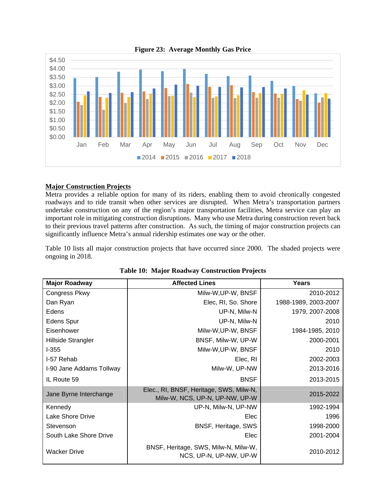

## **Major Construction Projects**

Metra provides a reliable option for many of its riders, enabling them to avoid chronically congested roadways and to ride transit when other services are disrupted. When Metra's transportation partners undertake construction on any of the region's major transportation facilities, Metra service can play an important role in mitigating construction disruptions. Many who use Metra during construction revert back to their previous travel patterns after construction. As such, the timing of major construction projects can significantly influence Metra's annual ridership estimates one way or the other.

Table 10 lists all major construction projects that have occurred since 2000. The shaded projects were ongoing in 2018.

| <b>Major Roadway</b>     | <b>Affected Lines</b>                                                     | Years                |
|--------------------------|---------------------------------------------------------------------------|----------------------|
| Congress Pkwy            | Milw-W, UP-W, BNSF                                                        | 2010-2012            |
| Dan Ryan                 | Elec, RI, So. Shore                                                       | 1988-1989, 2003-2007 |
| Edens                    | UP-N, Milw-N                                                              | 1979, 2007-2008      |
| <b>Edens Spur</b>        | UP-N, Milw-N                                                              | 2010                 |
| Eisenhower               | Milw-W, UP-W, BNSF                                                        | 1984-1985, 2010      |
| Hillside Strangler       | BNSF, Milw-W, UP-W                                                        | 2000-2001            |
| $1-355$                  | Milw-W, UP-W, BNSF                                                        | 2010                 |
| I-57 Rehab               | Elec, RI                                                                  | 2002-2003            |
| I-90 Jane Addams Tollway | Milw-W, UP-NW                                                             | 2013-2016            |
| IL Route 59              | <b>BNSF</b>                                                               | 2013-2015            |
| Jane Byrne Interchange   | Elec., RI, BNSF, Heritage, SWS, Milw-N,<br>Milw-W, NCS, UP-N, UP-NW, UP-W | 2015-2022            |
| Kennedy                  | UP-N, Milw-N, UP-NW                                                       | 1992-1994            |
| Lake Shore Drive         | Elec                                                                      | 1996                 |
| Stevenson                | BNSF, Heritage, SWS                                                       | 1998-2000            |
| South Lake Shore Drive   | Elec                                                                      | 2001-2004            |
| <b>Wacker Drive</b>      | BNSF, Heritage, SWS, Milw-N, Milw-W,<br>NCS, UP-N, UP-NW, UP-W            | 2010-2012            |

#### **Table 10: Major Roadway Construction Projects**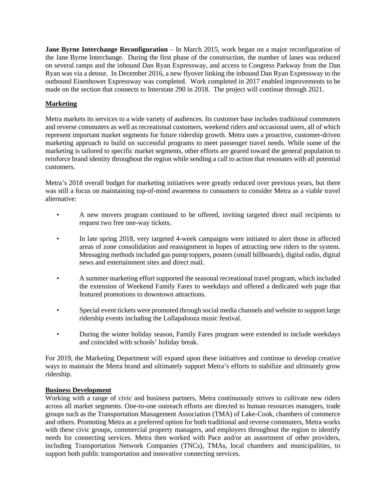**Jane Byrne Interchange Reconfiguration** – In March 2015, work began on a major reconfiguration of the Jane Byrne Interchange. During the first phase of the construction, the number of lanes was reduced on several ramps and the inbound Dan Ryan Expressway, and access to Congress Parkway from the Dan Ryan was via a detour. In December 2016, a new flyover linking the inbound Dan Ryan Expressway to the outbound Eisenhower Expressway was completed. Work completed in 2017 enabled improvements to be made on the section that connects to Interstate 290 in 2018. The project will continue through 2021.

## **Marketing**

Metra markets its services to a wide variety of audiences. Its customer base includes traditional commuters and reverse commuters as well as recreational customers, weekend riders and occasional users, all of which represent important market segments for future ridership growth. Metra uses a proactive, customer-driven marketing approach to build on successful programs to meet passenger travel needs. While some of the marketing is tailored to specific market segments, other efforts are geared toward the general population to reinforce brand identity throughout the region while sending a call to action that resonates with all potential customers.

Metra's 2018 overall budget for marketing initiatives were greatly reduced over previous years, but there was still a focus on maintaining top-of-mind awareness to consumers to consider Metra as a viable travel alternative:

- A new movers program continued to be offered, inviting targeted direct mail recipients to request two free one-way tickets.
- In late spring 2018, very targeted 4-week campaigns were initiated to alert those in affected areas of zone consolidation and reassignment in hopes of attracting new riders to the system. Messaging methods included gas pump toppers, posters (small billboards), digital radio, digital news and entertainment sites and direct mail.
- A summer marketing effort supported the seasonal recreational travel program, which included the extension of Weekend Family Fares to weekdays and offered a dedicated web page that featured promotions to downtown attractions.
- Special event tickets were promoted through social media channels and website to support large ridership events including the Lollapalooza music festival.
- During the winter holiday season, Family Fares program were extended to include weekdays and coincided with schools' holiday break.

For 2019, the Marketing Department will expand upon these initiatives and continue to develop creative ways to maintain the Metra brand and ultimately support Metra's efforts to stabilize and ultimately grow ridership.

#### **Business Development**

Working with a range of civic and business partners, Metra continuously strives to cultivate new riders across all market segments. One-to-one outreach efforts are directed to human resources managers, trade groups such as the Transportation Management Association (TMA) of Lake-Cook, chambers of commerce and others. Promoting Metra as a preferred option for both traditional and reverse commuters, Metra works with these civic groups, commercial property managers, and employers throughout the region to identify needs for connecting services. Metra then worked with Pace and/or an assortment of other providers, including Transportation Network Companies (TNCs), TMAs, local chambers and municipalities, to support both public transportation and innovative connecting services.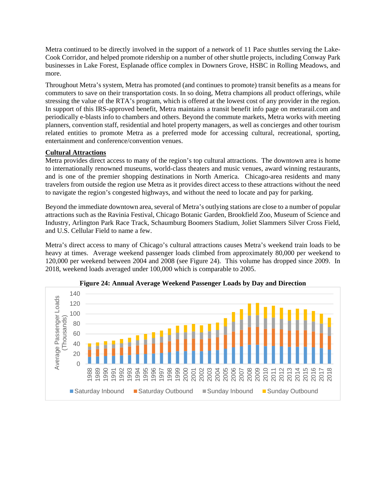Metra continued to be directly involved in the support of a network of 11 Pace shuttles serving the Lake-Cook Corridor, and helped promote ridership on a number of other shuttle projects, including Conway Park businesses in Lake Forest, Esplanade office complex in Downers Grove, HSBC in Rolling Meadows, and more.

Throughout Metra's system, Metra has promoted (and continues to promote) transit benefits as a means for commuters to save on their transportation costs. In so doing, Metra champions all product offerings, while stressing the value of the RTA's program, which is offered at the lowest cost of any provider in the region. In support of this IRS-approved benefit, Metra maintains a transit benefit info page on metrarail.com and periodically e-blasts info to chambers and others. Beyond the commute markets, Metra works with meeting planners, convention staff, residential and hotel property managers, as well as concierges and other tourism related entities to promote Metra as a preferred mode for accessing cultural, recreational, sporting, entertainment and conference/convention venues.

## **Cultural Attractions**

Metra provides direct access to many of the region's top cultural attractions. The downtown area is home to internationally renowned museums, world-class theaters and music venues, award winning restaurants, and is one of the premier shopping destinations in North America. Chicago-area residents and many travelers from outside the region use Metra as it provides direct access to these attractions without the need to navigate the region's congested highways, and without the need to locate and pay for parking.

Beyond the immediate downtown area, several of Metra's outlying stations are close to a number of popular attractions such as the Ravinia Festival, Chicago Botanic Garden, Brookfield Zoo, Museum of Science and Industry, Arlington Park Race Track, Schaumburg Boomers Stadium, Joliet Slammers Silver Cross Field, and U.S. Cellular Field to name a few.

Metra's direct access to many of Chicago's cultural attractions causes Metra's weekend train loads to be heavy at times. Average weekend passenger loads climbed from approximately 80,000 per weekend to 120,000 per weekend between 2004 and 2008 (see Figure 24). This volume has dropped since 2009. In 2018, weekend loads averaged under 100,000 which is comparable to 2005.



**Figure 24: Annual Average Weekend Passenger Loads by Day and Direction**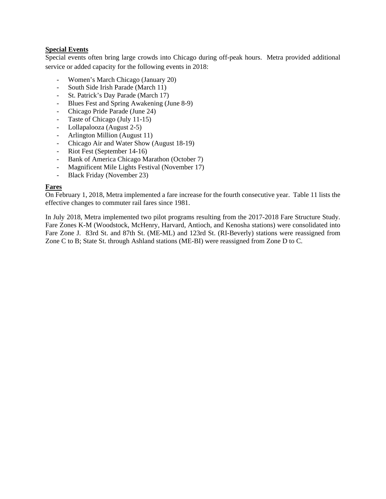## **Special Events**

Special events often bring large crowds into Chicago during off-peak hours. Metra provided additional service or added capacity for the following events in 2018:

- Women's March Chicago (January 20)
- South Side Irish Parade (March 11)
- St. Patrick's Day Parade (March 17)
- Blues Fest and Spring Awakening (June 8-9)
- Chicago Pride Parade (June 24)
- Taste of Chicago (July 11-15)
- Lollapalooza (August 2-5)
- Arlington Million (August 11)
- Chicago Air and Water Show (August 18-19)
- Riot Fest (September 14-16)
- Bank of America Chicago Marathon (October 7)
- Magnificent Mile Lights Festival (November 17)
- Black Friday (November 23)

#### **Fares**

On February 1, 2018, Metra implemented a fare increase for the fourth consecutive year. Table 11 lists the effective changes to commuter rail fares since 1981.

In July 2018, Metra implemented two pilot programs resulting from the 2017-2018 Fare Structure Study. Fare Zones K-M (Woodstock, McHenry, Harvard, Antioch, and Kenosha stations) were consolidated into Fare Zone J. 83rd St. and 87th St. (ME-ML) and 123rd St. (RI-Beverly) stations were reassigned from Zone C to B; State St. through Ashland stations (ME-BI) were reassigned from Zone D to C.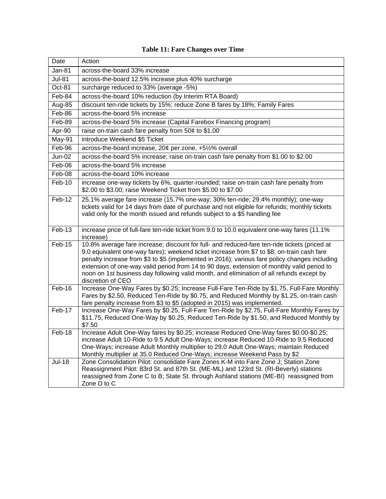| Date          | Action                                                                                                                                                                                                                                                                                                                                                                                                                                                                                                     |
|---------------|------------------------------------------------------------------------------------------------------------------------------------------------------------------------------------------------------------------------------------------------------------------------------------------------------------------------------------------------------------------------------------------------------------------------------------------------------------------------------------------------------------|
| <b>Jan-81</b> | across-the-board 33% increase                                                                                                                                                                                                                                                                                                                                                                                                                                                                              |
| <b>Jul-81</b> | across-the-board 12.5% increase plus 40% surcharge                                                                                                                                                                                                                                                                                                                                                                                                                                                         |
| Oct-81        | surcharge reduced to 33% (average -5%)                                                                                                                                                                                                                                                                                                                                                                                                                                                                     |
| Feb-84        | across-the-board 10% reduction (by Interim RTA Board)                                                                                                                                                                                                                                                                                                                                                                                                                                                      |
| Aug-85        | discount ten-ride tickets by 15%; reduce Zone B fares by 18%; Family Fares                                                                                                                                                                                                                                                                                                                                                                                                                                 |
| Feb-86        | across-the-board 5% increase                                                                                                                                                                                                                                                                                                                                                                                                                                                                               |
| Feb-89        | across-the-board 5% increase (Capital Farebox Financing program)                                                                                                                                                                                                                                                                                                                                                                                                                                           |
| Apr-90        | raise on-train cash fare penalty from 50¢ to \$1.00                                                                                                                                                                                                                                                                                                                                                                                                                                                        |
| May-91        | introduce Weekend \$5 Ticket                                                                                                                                                                                                                                                                                                                                                                                                                                                                               |
| Feb-96        | across-the-board increase, 20¢ per zone, +5½% overall                                                                                                                                                                                                                                                                                                                                                                                                                                                      |
| $Jun-02$      | across-the-board 5% increase; raise on-train cash fare penalty from \$1.00 to \$2.00                                                                                                                                                                                                                                                                                                                                                                                                                       |
| Feb-06        | across-the-board 5% increase                                                                                                                                                                                                                                                                                                                                                                                                                                                                               |
| Feb-08        | across-the-board 10% increase                                                                                                                                                                                                                                                                                                                                                                                                                                                                              |
| $Feb-10$      | increase one-way tickets by 6%, quarter-rounded; raise on-train cash fare penalty from<br>\$2.00 to \$3.00; raise Weekend Ticket from \$5.00 to \$7.00                                                                                                                                                                                                                                                                                                                                                     |
| Feb-12        | 25.1% average fare increase (15.7% one-way; 30% ten-ride; 29.4% monthly); one-way<br>tickets valid for 14 days from date of purchase and not eligible for refunds; monthly tickets<br>valid only for the month issued and refunds subject to a \$5 handling fee                                                                                                                                                                                                                                            |
| Feb-13        | increase price of full-fare ten-ride ticket from 9.0 to 10.0 equivalent one-way fares (11.1%<br>increase)                                                                                                                                                                                                                                                                                                                                                                                                  |
| Feb-15        | 10.8% average fare increase; discount for full- and reduced-fare ten-ride tickets (priced at<br>9.0 equivalent one-way fares); weekend ticket increase from \$7 to \$8; on-train cash fare<br>penalty increase from \$3 to \$5 (implemented in 2016); various fare policy changes including<br>extension of one-way valid period from 14 to 90 days, extension of monthly valid period to<br>noon on 1st business day following valid month, and elimination of all refunds except by<br>discretion of CEO |
| Feb-16        | Increase One-Way Fares by \$0.25; Increase Full-Fare Ten-Ride by \$1.75, Full-Fare Monthly<br>Fares by \$2.50, Reduced Ten-Ride by \$0.75, and Reduced Monthly by \$1.25, on-train cash<br>fare penalty increase from \$3 to \$5 (adopted in 2015) was implemented.                                                                                                                                                                                                                                        |
| Feb-17        | Increase One-Way Fares by \$0.25, Full-Fare Ten-Ride by \$2.75, Full-Fare Monthly Fares by<br>\$11.75, Reduced One-Way by \$0.25, Reduced Ten-Ride by \$1.50, and Reduced Monthly by<br>\$7.50                                                                                                                                                                                                                                                                                                             |
| Feb-18        | Increase Adult One-Way fares by \$0.25; increase Reduced One-Way fares \$0.00-\$0.25;<br>increase Adult 10-Ride to 9.5 Adult One-Ways; increase Reduced 10-Ride to 9.5 Reduced<br>One-Ways; increase Adult Monthly multiplier to 29.0 Adult One-Ways; maintain Reduced<br>Monthly multiplier at 35.0 Reduced One-Ways; increase Weekend Pass by \$2                                                                                                                                                        |
| <b>Jul-18</b> | Zone Consolidation Pilot: consolidate Fare Zones K-M into Fare Zone J; Station Zone<br>Reassignment Pilot: 83rd St. and 87th St. (ME-ML) and 123rd St. (RI-Beverly) stations<br>reassigned from Zone C to B; State St. through Ashland stations (ME-BI) reassigned from<br>Zone D to C                                                                                                                                                                                                                     |

# **Table 11: Fare Changes over Time**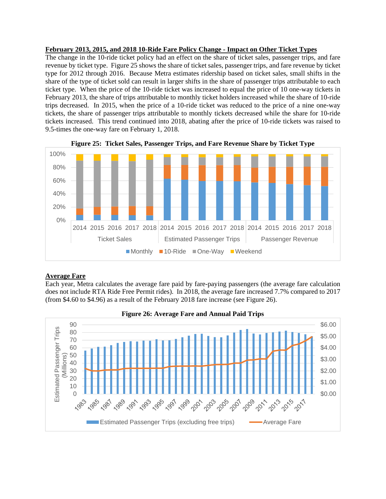#### **February 2013, 2015, and 2018 10-Ride Fare Policy Change - Impact on Other Ticket Types**

The change in the 10-ride ticket policy had an effect on the share of ticket sales, passenger trips, and fare revenue by ticket type. Figure 25 shows the share of ticket sales, passenger trips, and fare revenue by ticket type for 2012 through 2016. Because Metra estimates ridership based on ticket sales, small shifts in the share of the type of ticket sold can result in larger shifts in the share of passenger trips attributable to each ticket type. When the price of the 10-ride ticket was increased to equal the price of 10 one-way tickets in February 2013, the share of trips attributable to monthly ticket holders increased while the share of 10-ride trips decreased. In 2015, when the price of a 10-ride ticket was reduced to the price of a nine one-way tickets, the share of passenger trips attributable to monthly tickets decreased while the share for 10-ride tickets increased. This trend continued into 2018, abating after the price of 10-ride tickets was raised to 9.5-times the one-way fare on February 1, 2018.





## **Average Fare**

Each year, Metra calculates the average fare paid by fare-paying passengers (the average fare calculation does not include RTA Ride Free Permit rides). In 2018, the average fare increased 7.7% compared to 2017 (from \$4.60 to \$4.96) as a result of the February 2018 fare increase (see Figure 26).

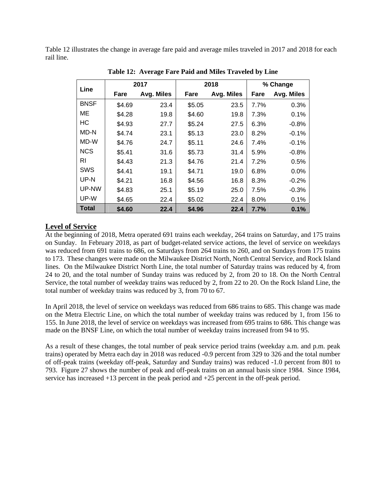Table 12 illustrates the change in average fare paid and average miles traveled in 2017 and 2018 for each rail line.

| Line        | 2017   |            |        | 2018       | % Change |            |  |
|-------------|--------|------------|--------|------------|----------|------------|--|
|             | Fare   | Avg. Miles | Fare   | Avg. Miles | Fare     | Avg. Miles |  |
| <b>BNSF</b> | \$4.69 | 23.4       | \$5.05 | 23.5       | 7.7%     | 0.3%       |  |
| МE          | \$4.28 | 19.8       | \$4.60 | 19.8       | 7.3%     | 0.1%       |  |
| HС          | \$4.93 | 27.7       | \$5.24 | 27.5       | 6.3%     | $-0.8%$    |  |
| MD-N        | \$4.74 | 23.1       | \$5.13 | 23.0       | 8.2%     | $-0.1%$    |  |
| MD-W        | \$4.76 | 24.7       | \$5.11 | 24.6       | 7.4%     | $-0.1%$    |  |
| <b>NCS</b>  | \$5.41 | 31.6       | \$5.73 | 31.4       | 5.9%     | $-0.8%$    |  |
| RI          | \$4.43 | 21.3       | \$4.76 | 21.4       | 7.2%     | 0.5%       |  |
| SWS         | \$4.41 | 19.1       | \$4.71 | 19.0       | 6.8%     | 0.0%       |  |
| UP-N        | \$4.21 | 16.8       | \$4.56 | 16.8       | 8.3%     | $-0.2%$    |  |
| UP-NW       | \$4.83 | 25.1       | \$5.19 | 25.0       | 7.5%     | $-0.3%$    |  |
| UP-W        | \$4.65 | 22.4       | \$5.02 | 22.4       | 8.0%     | 0.1%       |  |
| Total       | \$4.60 | 22.4       | \$4.96 | 22.4       | 7.7%     | 0.1%       |  |

 **Table 12: Average Fare Paid and Miles Traveled by Line** 

## **Level of Service**

At the beginning of 2018, Metra operated 691 trains each weekday, 264 trains on Saturday, and 175 trains on Sunday. In February 2018, as part of budget-related service actions, the level of service on weekdays was reduced from 691 trains to 686, on Saturdays from 264 trains to 260, and on Sundays from 175 trains to 173. These changes were made on the Milwaukee District North, North Central Service, and Rock Island lines. On the Milwaukee District North Line, the total number of Saturday trains was reduced by 4, from 24 to 20, and the total number of Sunday trains was reduced by 2, from 20 to 18. On the North Central Service, the total number of weekday trains was reduced by 2, from 22 to 20. On the Rock Island Line, the total number of weekday trains was reduced by 3, from 70 to 67.

In April 2018, the level of service on weekdays was reduced from 686 trains to 685. This change was made on the Metra Electric Line, on which the total number of weekday trains was reduced by 1, from 156 to 155. In June 2018, the level of service on weekdays was increased from 695 trains to 686. This change was made on the BNSF Line, on which the total number of weekday trains increased from 94 to 95.

As a result of these changes, the total number of peak service period trains (weekday a.m. and p.m. peak trains) operated by Metra each day in 2018 was reduced -0.9 percent from 329 to 326 and the total number of off-peak trains (weekday off-peak, Saturday and Sunday trains) was reduced -1.0 percent from 801 to 793. Figure 27 shows the number of peak and off-peak trains on an annual basis since 1984. Since 1984, service has increased +13 percent in the peak period and +25 percent in the off-peak period.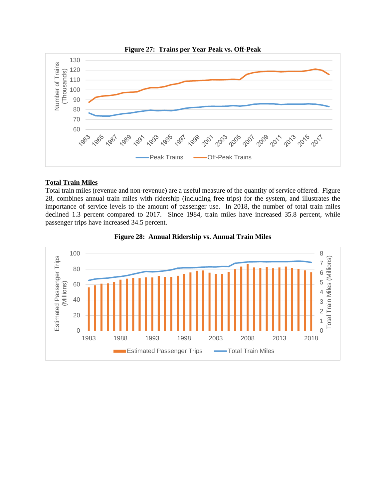

## **Total Train Miles**

Total train miles (revenue and non-revenue) are a useful measure of the quantity of service offered. Figure 28, combines annual train miles with ridership (including free trips) for the system, and illustrates the importance of service levels to the amount of passenger use. In 2018, the number of total train miles declined 1.3 percent compared to 2017. Since 1984, train miles have increased 35.8 percent, while passenger trips have increased 34.5 percent.



**Figure 28: Annual Ridership vs. Annual Train Miles**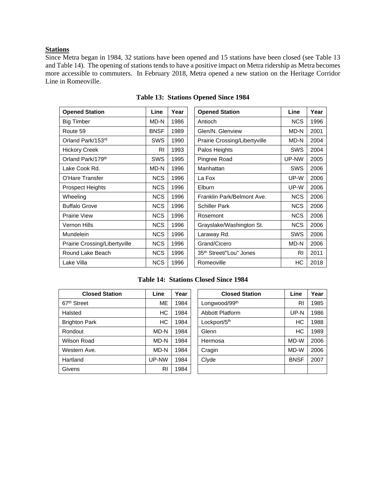#### **Stations**

Since Metra began in 1984, 32 stations have been opened and 15 stations have been closed (see Table 13 and Table 14). The opening of stations tends to have a positive impact on Metra ridership as Metra becomes more accessible to commuters. In February 2018, Metra opened a new station on the Heritage Corridor Line in Romeoville.

| <b>Opened Station</b>         | Line        | Year | <b>Opened Station</b>               | Line       | Year |
|-------------------------------|-------------|------|-------------------------------------|------------|------|
| <b>Big Timber</b>             | MD-N        | 1986 | Antioch                             | <b>NCS</b> | 1996 |
| Route 59                      | <b>BNSF</b> | 1989 | Glen/N. Glenview                    | MD-N       | 2001 |
| Orland Park/153rd             | SWS         | 1990 | Prairie Crossing/Libertyville       | MD-N       | 2004 |
| <b>Hickory Creek</b>          | <b>RI</b>   | 1993 | Palos Heights                       | SWS        | 2004 |
| Orland Park/179th             | SWS         | 1995 | Pingree Road                        | UP-NW      | 2005 |
| Lake Cook Rd.                 | MD-N        | 1996 | Manhattan                           | <b>SWS</b> | 2006 |
| O'Hare Transfer               | <b>NCS</b>  | 1996 | La Fox                              | UP-W       | 2006 |
| <b>Prospect Heights</b>       | <b>NCS</b>  | 1996 | Elburn                              | UP-W       | 2006 |
| Wheeling                      | <b>NCS</b>  | 1996 | Franklin Park/Belmont Ave.          | <b>NCS</b> | 2006 |
| <b>Buffalo Grove</b>          | <b>NCS</b>  | 1996 | <b>Schiller Park</b>                | <b>NCS</b> | 2006 |
| <b>Prairie View</b>           | <b>NCS</b>  | 1996 | Rosemont                            | <b>NCS</b> | 2006 |
| Vernon Hills                  | <b>NCS</b>  | 1996 | Grayslake/Washington St.            | <b>NCS</b> | 2006 |
| <b>Mundelein</b>              | <b>NCS</b>  | 1996 | Laraway Rd.                         | SWS        | 2006 |
| Prairie Crossing/Libertyville | <b>NCS</b>  | 1996 | Grand/Cicero                        | MD-N       | 2006 |
| Round Lake Beach              | <b>NCS</b>  | 1996 | 35 <sup>th</sup> Street/"Lou" Jones | <b>RI</b>  | 2011 |
| Lake Villa                    | <b>NCS</b>  | 1996 | Romeoville                          | НC         | 2018 |

**Table 13: Stations Opened Since 1984** 

| <b>Opened Station</b>               | Line       | Year |
|-------------------------------------|------------|------|
| Antioch                             | <b>NCS</b> | 1996 |
| Glen/N. Glenview                    | MD-N       | 2001 |
| Prairie Crossing/Libertyville       | MD-N       | 2004 |
| Palos Heights                       | <b>SWS</b> | 2004 |
| Pingree Road                        | UP-NW      | 2005 |
| Manhattan                           | SWS        | 2006 |
| La Fox                              | UP-W       | 2006 |
| Elburn                              | UP-W       | 2006 |
| Franklin Park/Belmont Ave.          | <b>NCS</b> | 2006 |
| Schiller Park                       | <b>NCS</b> | 2006 |
| Rosemont                            | <b>NCS</b> | 2006 |
| Grayslake/Washington St.            | <b>NCS</b> | 2006 |
| Laraway Rd.                         | SWS        | 2006 |
| Grand/Cicero                        | MD-N       | 2006 |
| 35 <sup>th</sup> Street/"Lou" Jones | RI         | 2011 |
| Romeoville                          | НC         | 2018 |

**Table 14: Stations Closed Since 1984** 

| <b>Closed Station</b>   | Line      | Year | <b>Closed Station</b>  | Line        | Year |
|-------------------------|-----------|------|------------------------|-------------|------|
| 67 <sup>th</sup> Street | <b>ME</b> | 1984 | Longwood/99th          | RI          | 1985 |
| Halsted                 | <b>HC</b> | 1984 | <b>Abbott Platform</b> | UP-N        | 1986 |
| <b>Brighton Park</b>    | НC        | 1984 | Lockport/5th           | НC          | 1988 |
| Rondout                 | MD-N      | 1984 | Glenn                  | НC          | 1989 |
| Wilson Road             | MD-N      | 1984 | Hermosa                | MD-W        | 2006 |
| Western Ave.            | MD-N      | 1984 | Cragin                 | MD-W        | 2006 |
| Hartland                | UP-NW     | 1984 | Clyde                  | <b>BNSF</b> | 2007 |
| Givens                  | RI        | 1984 |                        |             |      |

| <b>Closed Station</b> | Line      | Year | <b>Closed Station</b>     | Line        | Year |
|-----------------------|-----------|------|---------------------------|-------------|------|
| et                    | <b>ME</b> | 1984 | Longwood/99 <sup>th</sup> | RI          | 1985 |
|                       | HC        | 1984 | <b>Abbott Platform</b>    | UP-N        | 1986 |
| Park                  | HC        | 1984 | Lockport/5 <sup>th</sup>  | HC          | 1988 |
|                       | MD-N      | 1984 | Glenn                     | НC          | 1989 |
| रेoad                 | MD-N      | 1984 | Hermosa                   | MD-W        | 2006 |
| ı Ave.                | MD-N      | 1984 | Cragin                    | MD-W        | 2006 |
|                       | UP-NW     | 1984 | Clyde                     | <b>BNSF</b> | 2007 |
|                       | RI        | 1984 |                           |             |      |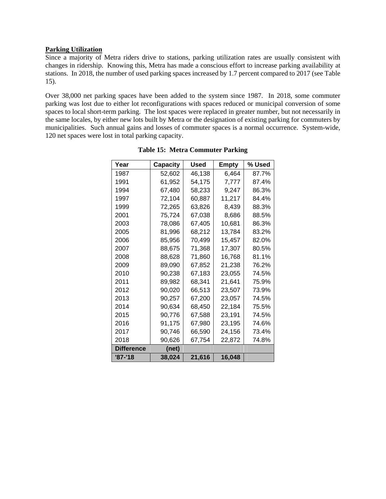#### **Parking Utilization**

Since a majority of Metra riders drive to stations, parking utilization rates are usually consistent with changes in ridership. Knowing this, Metra has made a conscious effort to increase parking availability at stations. In 2018, the number of used parking spaces increased by 1.7 percent compared to 2017 (see Table 15).

Over 38,000 net parking spaces have been added to the system since 1987. In 2018, some commuter parking was lost due to either lot reconfigurations with spaces reduced or municipal conversion of some spaces to local short-term parking. The lost spaces were replaced in greater number, but not necessarily in the same locales, by either new lots built by Metra or the designation of existing parking for commuters by municipalities. Such annual gains and losses of commuter spaces is a normal occurrence. System-wide, 120 net spaces were lost in total parking capacity.

| Year              | Capacity | Used   | <b>Empty</b> | % Used |
|-------------------|----------|--------|--------------|--------|
| 1987              | 52,602   | 46,138 | 6,464        | 87.7%  |
| 1991              | 61,952   | 54,175 | 7,777        | 87.4%  |
| 1994              | 67,480   | 58,233 | 9,247        | 86.3%  |
| 1997              | 72,104   | 60.887 | 11,217       | 84.4%  |
| 1999              | 72,265   | 63,826 | 8,439        | 88.3%  |
| 2001              | 75,724   | 67,038 | 8,686        | 88.5%  |
| 2003              | 78.086   | 67,405 | 10,681       | 86.3%  |
| 2005              | 81,996   | 68,212 | 13,784       | 83.2%  |
| 2006              | 85,956   | 70,499 | 15,457       | 82.0%  |
| 2007              | 88,675   | 71,368 | 17,307       | 80.5%  |
| 2008              | 88,628   | 71,860 | 16,768       | 81.1%  |
| 2009              | 89,090   | 67,852 | 21,238       | 76.2%  |
| 2010              | 90,238   | 67,183 | 23,055       | 74.5%  |
| 2011              | 89,982   | 68,341 | 21,641       | 75.9%  |
| 2012              | 90,020   | 66,513 | 23,507       | 73.9%  |
| 2013              | 90,257   | 67,200 | 23,057       | 74.5%  |
| 2014              | 90,634   | 68,450 | 22,184       | 75.5%  |
| 2015              | 90,776   | 67.588 | 23,191       | 74.5%  |
| 2016              | 91,175   | 67.980 | 23,195       | 74.6%  |
| 2017              | 90,746   | 66,590 | 24,156       | 73.4%  |
| 2018              | 90,626   | 67,754 | 22,872       | 74.8%  |
| <b>Difference</b> | (net)    |        |              |        |
| '87-'18           | 38,024   | 21,616 | 16,048       |        |

**Table 15: Metra Commuter Parking**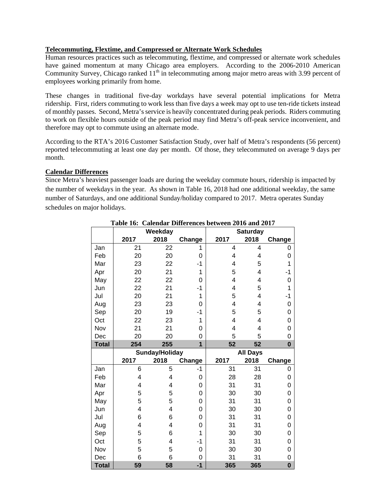## **Telecommuting, Flextime, and Compressed or Alternate Work Schedules**

Human resources practices such as telecommuting, flextime, and compressed or alternate work schedules have gained momentum at many Chicago area employers. According to the 2006-2010 American Community Survey, Chicago ranked 11<sup>th</sup> in telecommuting among major metro areas with 3.99 percent of employees working primarily from home.

These changes in traditional five-day workdays have several potential implications for Metra ridership. First, riders commuting to work less than five days a week may opt to use ten-ride tickets instead of monthly passes. Second, Metra's service is heavily concentrated during peak periods. Riders commuting to work on flexible hours outside of the peak period may find Metra's off-peak service inconvenient, and therefore may opt to commute using an alternate mode.

According to the RTA's 2016 Customer Satisfaction Study, over half of Metra's respondents (56 percent) reported telecommuting at least one day per month. Of those, they telecommuted on average 9 days per month.

#### **Calendar Differences**

Since Metra's heaviest passenger loads are during the weekday commute hours, ridership is impacted by the number of weekdays in the year. As shown in Table 16, 2018 had one additional weekday, the same number of Saturdays, and one additional Sunday/holiday compared to 2017. Metra operates Sunday schedules on major holidays.

|              |      | Weekday        |        |                | <b>Saturday</b> |          |
|--------------|------|----------------|--------|----------------|-----------------|----------|
|              | 2017 | 2018           | Change | 2017           | 2018            | Change   |
| Jan          | 21   | 22             | 1      | 4              | 4               | 0        |
| Feb          | 20   | 20             | 0      | 4              | 4               | 0        |
| Mar          | 23   | 22             | -1     | 4              | 5               | 1        |
| Apr          | 20   | 21             | 1      | 5              | 4               | $-1$     |
| May          | 22   | 22             | 0      | 4              | 4               | 0        |
| Jun          | 22   | 21             | -1     | 4              | 5               | 1        |
| Jul          | 20   | 21             | 1      | 5              | 4               | -1       |
| Aug          | 23   | 23             | 0      | 4              | 4               | 0        |
| Sep          | 20   | 19             | $-1$   | 5              | 5               | 0        |
| Oct          | 22   | 23             | 1      | $\overline{4}$ | 4               | 0        |
| Nov          | 21   | 21             | 0      | 4              | 4               | 0        |
| Dec          | 20   | 20             | 0      | 5              | 5               | 0        |
| <b>Total</b> | 254  | 255            | 1      | 52             | 52              | $\bf{0}$ |
|              |      |                |        |                |                 |          |
|              |      | Sunday/Holiday |        |                | <b>All Days</b> |          |
|              | 2017 | 2018           | Change | 2017           | 2018            | Change   |
| Jan          | 6    | 5              | $-1$   | 31             | 31              | 0        |
| Feb          | 4    | 4              | 0      | 28             | 28              | 0        |
| Mar          | 4    | 4              | 0      | 31             | 31              | 0        |
| Apr          | 5    | 5              | 0      | 30             | 30              | 0        |
| May          | 5    | 5              | 0      | 31             | 31              | 0        |
| Jun          | 4    | 4              | 0      | 30             | 30              | 0        |
| Jul          | 6    | 6              | 0      | 31             | 31              | 0        |
| Aug          | 4    | 4              | 0      | 31             | 31              | 0        |
| Sep          | 5    | 6              | 1      | 30             | 30              | 0        |
| Oct          | 5    | 4              | -1     | 31             | 31              | 0        |
| Nov          | 5    | 5              | 0      | 30             | 30              | 0        |
| Dec          | 6    | 6              | 0      | 31             | 31              | 0        |

## **Table 16: Calendar Differences between 2016 and 2017**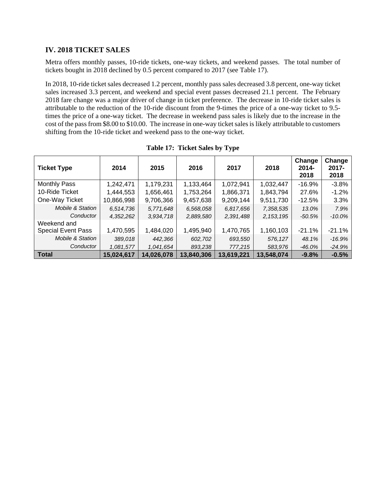## **IV. 2018 TICKET SALES**

Metra offers monthly passes, 10-ride tickets, one-way tickets, and weekend passes. The total number of tickets bought in 2018 declined by 0.5 percent compared to 2017 (see Table 17).

In 2018, 10-ride ticket sales decreased 1.2 percent, monthly pass sales decreased 3.8 percent, one-way ticket sales increased 3.3 percent, and weekend and special event passes decreased 21.1 percent. The February 2018 fare change was a major driver of change in ticket preference. The decrease in 10-ride ticket sales is attributable to the reduction of the 10-ride discount from the 9-times the price of a one-way ticket to 9.5 times the price of a one-way ticket. The decrease in weekend pass sales is likely due to the increase in the cost of the pass from \$8.00 to \$10.00. The increase in one-way ticket sales is likely attributable to customers shifting from the 10-ride ticket and weekend pass to the one-way ticket.

| <b>Ticket Type</b>          | 2014       | 2015       | 2016       | 2017       | 2018        | Change<br>2014-<br>2018 | Change<br>$2017 -$<br>2018 |
|-----------------------------|------------|------------|------------|------------|-------------|-------------------------|----------------------------|
| <b>Monthly Pass</b>         | 1,242,471  | 1,179,231  | 1,133,464  | 1,072,941  | 1,032,447   | $-16.9%$                | $-3.8%$                    |
| 10-Ride Ticket              | 1,444,553  | 1,656,461  | 1,753,264  | 1,866,371  | 1,843,794   | 27.6%                   | $-1.2%$                    |
| One-Way Ticket              | 10,866,998 | 9,706,366  | 9,457,638  | 9,209,144  | 9,511,730   | $-12.5%$                | 3.3%                       |
| <b>Mobile &amp; Station</b> | 6,514,736  | 5,771,648  | 6,568,058  | 6,817,656  | 7,358,535   | 13.0%                   | 7.9%                       |
| Conductor                   | 4,352,262  | 3,934,718  | 2,889,580  | 2,391,488  | 2, 153, 195 | $-50.5%$                | $-10.0\%$                  |
| Weekend and                 |            |            |            |            |             |                         |                            |
| <b>Special Event Pass</b>   | 1,470,595  | 1,484,020  | 1,495,940  | 1,470,765  | 1,160,103   | $-21.1%$                | $-21.1%$                   |
| <b>Mobile &amp; Station</b> | 389,018    | 442,366    | 602,702    | 693,550    | 576,127     | 48.1%                   | $-16.9%$                   |
| Conductor                   | 1,081,577  | 1,041,654  | 893,238    | 777,215    | 583,976     | $-46.0%$                | $-24.9%$                   |
| Total                       | 15,024,617 | 14,026,078 | 13,840,306 | 13,619,221 | 13,548,074  | $-9.8%$                 | $-0.5%$                    |

**Table 17: Ticket Sales by Type**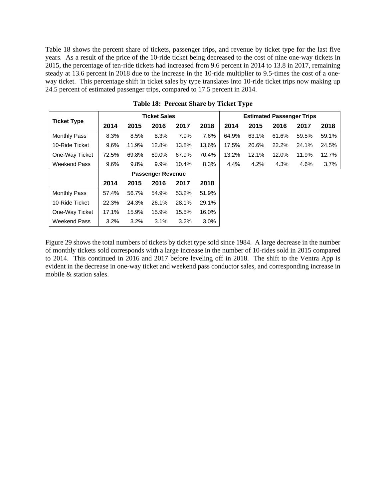Table 18 shows the percent share of tickets, passenger trips, and revenue by ticket type for the last five years. As a result of the price of the 10-ride ticket being decreased to the cost of nine one-way tickets in 2015, the percentage of ten-ride tickets had increased from 9.6 percent in 2014 to 13.8 in 2017, remaining steady at 13.6 percent in 2018 due to the increase in the 10-ride multiplier to 9.5-times the cost of a oneway ticket. This percentage shift in ticket sales by type translates into 10-ride ticket trips now making up 24.5 percent of estimated passenger trips, compared to 17.5 percent in 2014.

|                     |       |       | <b>Ticket Sales</b>      |       |         |       |       |       | <b>Estimated Passenger Trips</b> |       |
|---------------------|-------|-------|--------------------------|-------|---------|-------|-------|-------|----------------------------------|-------|
| <b>Ticket Type</b>  | 2014  | 2015  | 2016                     | 2017  | 2018    | 2014  | 2015  | 2016  | 2017                             | 2018  |
| <b>Monthly Pass</b> | 8.3%  | 8.5%  | 8.3%                     | 7.9%  | 7.6%    | 64.9% | 63.1% | 61.6% | 59.5%                            | 59.1% |
| 10-Ride Ticket      | 9.6%  | 11.9% | 12.8%                    | 13.8% | 13.6%   | 17.5% | 20.6% | 22.2% | 24.1%                            | 24.5% |
| One-Way Ticket      | 72.5% | 69.8% | 69.0%                    | 67.9% | 70.4%   | 13.2% | 12.1% | 12.0% | 11.9%                            | 12.7% |
| Weekend Pass        | 9.6%  | 9.8%  | 9.9%                     | 10.4% | 8.3%    | 4.4%  | 4.2%  | 4.3%  | 4.6%                             | 3.7%  |
|                     |       |       | <b>Passenger Revenue</b> |       |         |       |       |       |                                  |       |
|                     | 2014  | 2015  | 2016                     | 2017  | 2018    |       |       |       |                                  |       |
| <b>Monthly Pass</b> | 57.4% | 56.7% | 54.9%                    | 53.2% | 51.9%   |       |       |       |                                  |       |
| 10-Ride Ticket      | 22.3% | 24.3% | 26.1%                    | 28.1% | 29.1%   |       |       |       |                                  |       |
| One-Way Ticket      | 17.1% | 15.9% | 15.9%                    | 15.5% | 16.0%   |       |       |       |                                  |       |
| Weekend Pass        | 3.2%  | 3.2%  | 3.1%                     | 3.2%  | $3.0\%$ |       |       |       |                                  |       |

**Table 18: Percent Share by Ticket Type** 

Figure 29 shows the total numbers of tickets by ticket type sold since 1984. A large decrease in the number of monthly tickets sold corresponds with a large increase in the number of 10-rides sold in 2015 compared to 2014. This continued in 2016 and 2017 before leveling off in 2018. The shift to the Ventra App is evident in the decrease in one-way ticket and weekend pass conductor sales, and corresponding increase in mobile & station sales.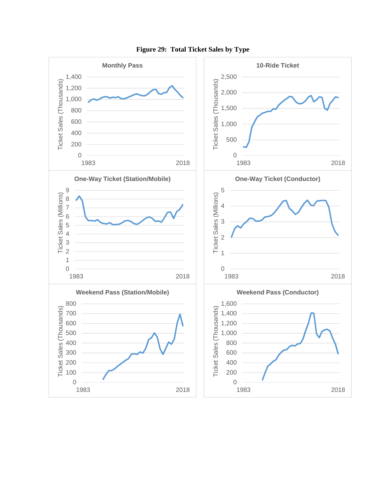

**Figure 29: Total Ticket Sales by Type**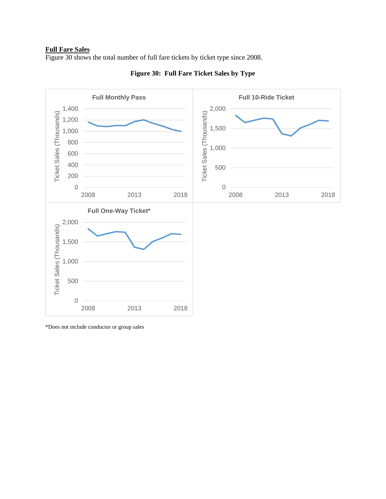#### **Full Fare Sales**

Figure 30 shows the total number of full fare tickets by ticket type since 2008.



**Figure 30: Full Fare Ticket Sales by Type** 

\*Does not include conductor or group sales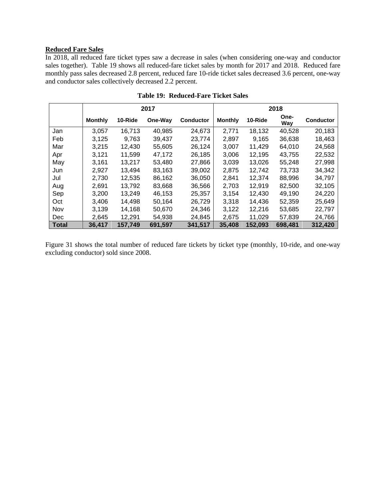# **Reduced Fare Sales**

In 2018, all reduced fare ticket types saw a decrease in sales (when considering one-way and conductor sales together). Table 19 shows all reduced-fare ticket sales by month for 2017 and 2018. Reduced fare monthly pass sales decreased 2.8 percent, reduced fare 10-ride ticket sales decreased 3.6 percent, one-way and conductor sales collectively decreased 2.2 percent.

|              | 2017           |         |         |                  | 2018           |         |             |                  |
|--------------|----------------|---------|---------|------------------|----------------|---------|-------------|------------------|
|              | <b>Monthly</b> | 10-Ride | One-Way | <b>Conductor</b> | <b>Monthly</b> | 10-Ride | One-<br>Way | <b>Conductor</b> |
| Jan          | 3,057          | 16,713  | 40,985  | 24,673           | 2,771          | 18,132  | 40,528      | 20,183           |
| Feb          | 3.125          | 9.763   | 39.437  | 23.774           | 2,897          | 9.165   | 36,638      | 18,463           |
| Mar          | 3,215          | 12,430  | 55.605  | 26,124           | 3,007          | 11,429  | 64,010      | 24,568           |
| Apr          | 3.121          | 11.599  | 47.172  | 26,185           | 3,006          | 12.195  | 43,755      | 22,532           |
| May          | 3,161          | 13,217  | 53,480  | 27,866           | 3,039          | 13,026  | 55,248      | 27,998           |
| Jun          | 2,927          | 13,494  | 83,163  | 39,002           | 2,875          | 12,742  | 73,733      | 34,342           |
| Jul          | 2,730          | 12,535  | 86.162  | 36,050           | 2,841          | 12,374  | 88,996      | 34.797           |
| Aug          | 2.691          | 13,792  | 83,668  | 36,566           | 2,703          | 12,919  | 82,500      | 32,105           |
| Sep          | 3,200          | 13,249  | 46,153  | 25,357           | 3,154          | 12,430  | 49,190      | 24,220           |
| Oct          | 3.406          | 14.498  | 50.164  | 26,729           | 3.318          | 14.436  | 52,359      | 25.649           |
| Nov          | 3,139          | 14,168  | 50,670  | 24,346           | 3,122          | 12,216  | 53,685      | 22,797           |
| <b>Dec</b>   | 2,645          | 12,291  | 54,938  | 24,845           | 2,675          | 11,029  | 57,839      | 24,766           |
| <b>Total</b> | 36,417         | 157,749 | 691,597 | 341,517          | 35,408         | 152,093 | 698,481     | 312,420          |

**Table 19: Reduced-Fare Ticket Sales** 

Figure 31 shows the total number of reduced fare tickets by ticket type (monthly, 10-ride, and one-way excluding conductor) sold since 2008.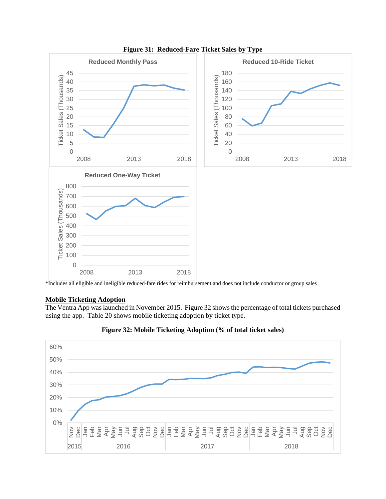

**Figure 31: Reduced-Fare Ticket Sales by Type** 

\*Includes all eligible and ineligible reduced-fare rides for reimbursement and does not include conductor or group sales

## **Mobile Ticketing Adoption**

The Ventra App was launched in November 2015. Figure 32 shows the percentage of total tickets purchased using the app. Table 20 shows mobile ticketing adoption by ticket type.



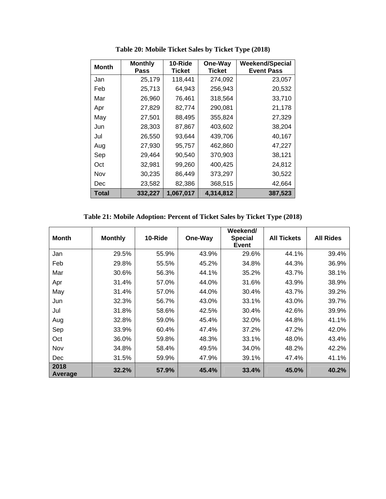| <b>Month</b> | <b>Monthly</b><br>Pass | 10-Ride<br><b>Ticket</b> | One-Way<br><b>Ticket</b> | <b>Weekend/Special</b><br><b>Event Pass</b> |
|--------------|------------------------|--------------------------|--------------------------|---------------------------------------------|
| Jan          | 25,179                 | 118,441                  | 274,092                  | 23,057                                      |
| Feb          | 25,713                 | 64,943                   | 256,943                  | 20,532                                      |
| Mar          | 26,960                 | 76,461                   | 318,564                  | 33,710                                      |
| Apr          | 27,829                 | 82,774                   | 290,081                  | 21,178                                      |
| May          | 27,501                 | 88,495                   | 355,824                  | 27,329                                      |
| Jun          | 28,303                 | 87,867                   | 403,602                  | 38,204                                      |
| Jul          | 26,550                 | 93,644                   | 439,706                  | 40,167                                      |
| Aug          | 27,930                 | 95,757                   | 462,860                  | 47,227                                      |
| Sep          | 29,464                 | 90,540                   | 370,903                  | 38,121                                      |
| Oct          | 32,981                 | 99,260                   | 400,425                  | 24,812                                      |
| Nov          | 30,235                 | 86,449                   | 373,297                  | 30,522                                      |
| Dec          | 23,582                 | 82,386                   | 368,515                  | 42,664                                      |
| <b>Total</b> | 332,227                | 1,067,017                | 4,314,812                | 387,523                                     |

**Table 20: Mobile Ticket Sales by Ticket Type (2018)** 

**Table 21: Mobile Adoption: Percent of Ticket Sales by Ticket Type (2018)** 

| <b>Month</b>    | <b>Monthly</b> | 10-Ride | One-Way | Weekend/<br><b>Special</b><br><b>Event</b> | <b>All Tickets</b> | <b>All Rides</b> |
|-----------------|----------------|---------|---------|--------------------------------------------|--------------------|------------------|
| Jan             | 29.5%          | 55.9%   | 43.9%   | 29.6%                                      | 44.1%              | 39.4%            |
| Feb             | 29.8%          | 55.5%   | 45.2%   | 34.8%                                      | 44.3%              | 36.9%            |
| Mar             | 30.6%          | 56.3%   | 44.1%   | 35.2%                                      | 43.7%              | 38.1%            |
| Apr             | 31.4%          | 57.0%   | 44.0%   | 31.6%                                      | 43.9%              | 38.9%            |
| May             | 31.4%          | 57.0%   | 44.0%   | 30.4%                                      | 43.7%              | 39.2%            |
| Jun             | 32.3%          | 56.7%   | 43.0%   | 33.1%                                      | 43.0%              | 39.7%            |
| Jul             | 31.8%          | 58.6%   | 42.5%   | 30.4%                                      | 42.6%              | 39.9%            |
| Aug             | 32.8%          | 59.0%   | 45.4%   | 32.0%                                      | 44.8%              | 41.1%            |
| Sep             | 33.9%          | 60.4%   | 47.4%   | 37.2%                                      | 47.2%              | 42.0%            |
| Oct             | 36.0%          | 59.8%   | 48.3%   | 33.1%                                      | 48.0%              | 43.4%            |
| Nov             | 34.8%          | 58.4%   | 49.5%   | 34.0%                                      | 48.2%              | 42.2%            |
| Dec             | 31.5%          | 59.9%   | 47.9%   | 39.1%                                      | 47.4%              | 41.1%            |
| 2018<br>Average | 32.2%          | 57.9%   | 45.4%   | 33.4%                                      | 45.0%              | 40.2%            |